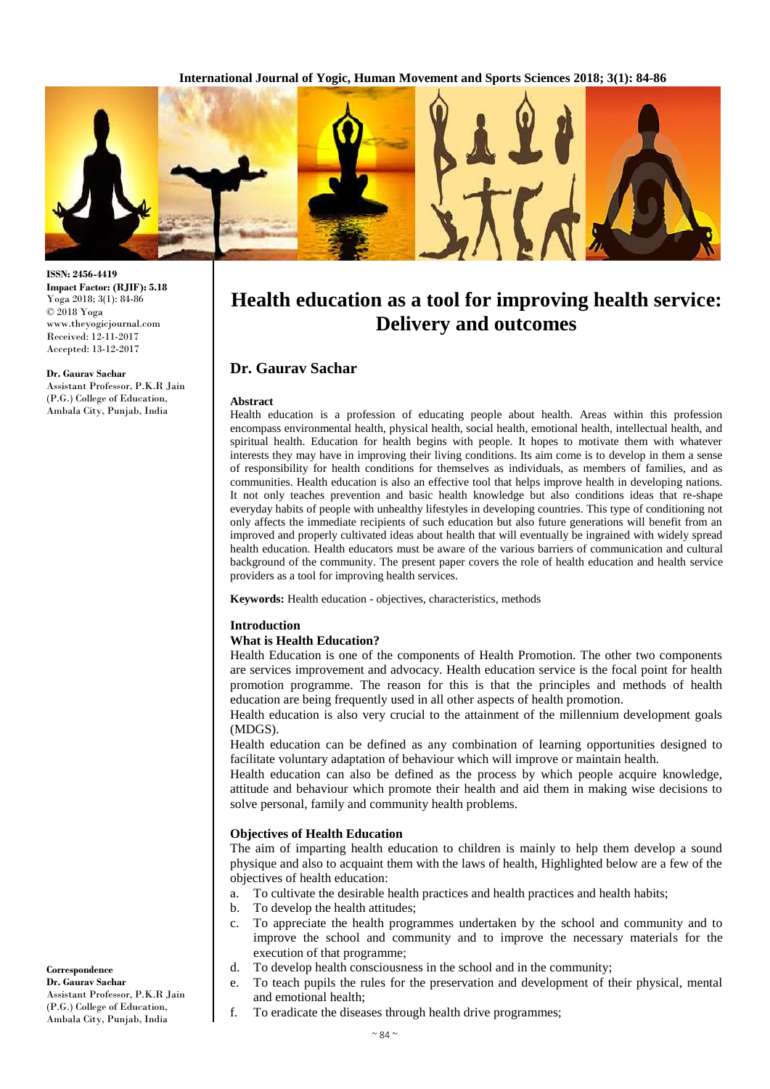

**ISSN: 2456-4419 Impact Factor: (RJIF): 5.18** Yoga 2018; 3(1): 84-86 © 2018 Yoga www.theyogicjournal.com Received: 12-11-2017 Accepted: 13-12-2017

#### **Dr. Gaurav Sachar**

Assistant Professor, P.K.R Jain (P.G.) College of Education, Ambala City, Punjab, India

# **Health education as a tool for improving health service: Delivery and outcomes**

# **Dr. Gaurav Sachar**

### **Abstract**

Health education is a profession of educating people about health. Areas within this profession encompass environmental health, physical health, social health, emotional health, intellectual health, and spiritual health. Education for health begins with people. It hopes to motivate them with whatever interests they may have in improving their living conditions. Its aim come is to develop in them a sense of responsibility for health conditions for themselves as individuals, as members of families, and as communities. Health education is also an effective tool that helps improve health in developing nations. It not only teaches prevention and basic health knowledge but also conditions ideas that re-shape everyday habits of people with unhealthy lifestyles in developing countries. This type of conditioning not only affects the immediate recipients of such education but also future generations will benefit from an improved and properly cultivated ideas about health that will eventually be ingrained with widely spread health education. Health educators must be aware of the various barriers of communication and cultural background of the community. The present paper covers the role of health education and health service providers as a tool for improving health services.

**Keywords:** Health education - objectives, characteristics, methods

#### **Introduction**

### **What is Health Education?**

Health Education is one of the components of Health Promotion. The other two components are services improvement and advocacy. Health education service is the focal point for health promotion programme. The reason for this is that the principles and methods of health education are being frequently used in all other aspects of health promotion.

Health education is also very crucial to the attainment of the millennium development goals (MDGS).

Health education can be defined as any combination of learning opportunities designed to facilitate voluntary adaptation of behaviour which will improve or maintain health.

Health education can also be defined as the process by which people acquire knowledge, attitude and behaviour which promote their health and aid them in making wise decisions to solve personal, family and community health problems.

## **Objectives of Health Education**

The aim of imparting health education to children is mainly to help them develop a sound physique and also to acquaint them with the laws of health, Highlighted below are a few of the objectives of health education:

- a. To cultivate the desirable health practices and health practices and health habits;
- b. To develop the health attitudes;
- c. To appreciate the health programmes undertaken by the school and community and to improve the school and community and to improve the necessary materials for the execution of that programme;
- d. To develop health consciousness in the school and in the community;
- e. To teach pupils the rules for the preservation and development of their physical, mental and emotional health;
- f. To eradicate the diseases through health drive programmes;

 $\sim$  84  $\sim$ 

**Correspondence Dr. Gaurav Sachar**  Assistant Professor, P.K.R Jain (P.G.) College of Education, Ambala City, Punjab, India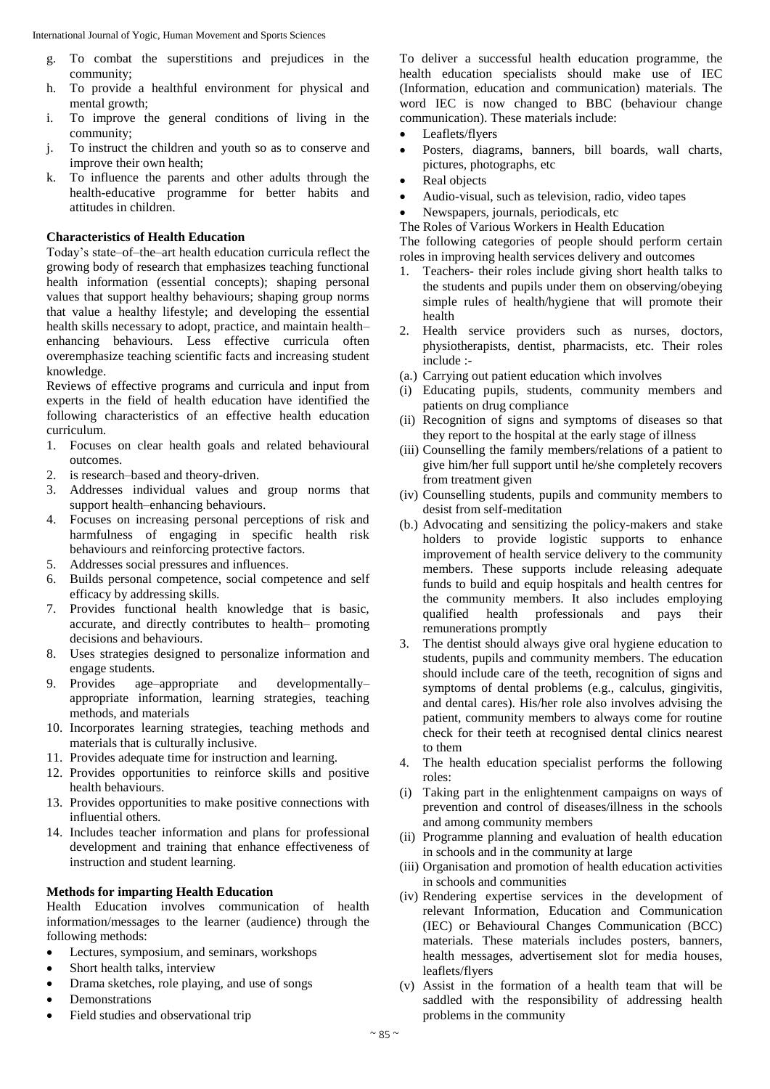International Journal of Yogic, Human Movement and Sports Sciences

- g. To combat the superstitions and prejudices in the community;
- h. To provide a healthful environment for physical and mental growth;
- i. To improve the general conditions of living in the community;
- j. To instruct the children and youth so as to conserve and improve their own health;
- k. To influence the parents and other adults through the health-educative programme for better habits and attitudes in children.

# **Characteristics of Health Education**

Today's state–of–the–art health education curricula reflect the growing body of research that emphasizes teaching functional health information (essential concepts); shaping personal values that support healthy behaviours; shaping group norms that value a healthy lifestyle; and developing the essential health skills necessary to adopt, practice, and maintain health– enhancing behaviours. Less effective curricula often overemphasize teaching scientific facts and increasing student knowledge.

Reviews of effective programs and curricula and input from experts in the field of health education have identified the following characteristics of an effective health education curriculum.

- 1. Focuses on clear health goals and related behavioural outcomes.
- 2. is research–based and theory-driven.
- 3. Addresses individual values and group norms that support health–enhancing behaviours.
- 4. Focuses on increasing personal perceptions of risk and harmfulness of engaging in specific health risk behaviours and reinforcing protective factors.
- 5. Addresses social pressures and influences.
- 6. Builds personal competence, social competence and self efficacy by addressing skills.
- 7. Provides functional health knowledge that is basic, accurate, and directly contributes to health– promoting decisions and behaviours.
- 8. Uses strategies designed to personalize information and engage students.
- 9. Provides age–appropriate and developmentally– appropriate information, learning strategies, teaching methods, and materials
- 10. Incorporates learning strategies, teaching methods and materials that is culturally inclusive.
- 11. Provides adequate time for instruction and learning.
- 12. Provides opportunities to reinforce skills and positive health behaviours.
- 13. Provides opportunities to make positive connections with influential others.
- 14. Includes teacher information and plans for professional development and training that enhance effectiveness of instruction and student learning.

# **Methods for imparting Health Education**

Health Education involves communication of health information/messages to the learner (audience) through the following methods:

- Lectures, symposium, and seminars, workshops
- Short health talks, interview
- Drama sketches, role playing, and use of songs
- Demonstrations
- Field studies and observational trip

To deliver a successful health education programme, the health education specialists should make use of IEC (Information, education and communication) materials. The word IEC is now changed to BBC (behaviour change communication). These materials include:

- Leaflets/flyers
- Posters, diagrams, banners, bill boards, wall charts, pictures, photographs, etc
- Real objects
- Audio-visual, such as television, radio, video tapes
- Newspapers, journals, periodicals, etc
- The Roles of Various Workers in Health Education

The following categories of people should perform certain roles in improving health services delivery and outcomes

- 1. Teachers- their roles include giving short health talks to the students and pupils under them on observing/obeying simple rules of health/hygiene that will promote their health
- 2. Health service providers such as nurses, doctors, physiotherapists, dentist, pharmacists, etc. Their roles include :-
- (a.) Carrying out patient education which involves
- (i) Educating pupils, students, community members and patients on drug compliance
- (ii) Recognition of signs and symptoms of diseases so that they report to the hospital at the early stage of illness
- (iii) Counselling the family members/relations of a patient to give him/her full support until he/she completely recovers from treatment given
- (iv) Counselling students, pupils and community members to desist from self-meditation
- (b.) Advocating and sensitizing the policy-makers and stake holders to provide logistic supports to enhance improvement of health service delivery to the community members. These supports include releasing adequate funds to build and equip hospitals and health centres for the community members. It also includes employing qualified health professionals and pays their remunerations promptly
- 3. The dentist should always give oral hygiene education to students, pupils and community members. The education should include care of the teeth, recognition of signs and symptoms of dental problems (e.g., calculus, gingivitis, and dental cares). His/her role also involves advising the patient, community members to always come for routine check for their teeth at recognised dental clinics nearest to them
- 4. The health education specialist performs the following roles:
- (i) Taking part in the enlightenment campaigns on ways of prevention and control of diseases/illness in the schools and among community members
- (ii) Programme planning and evaluation of health education in schools and in the community at large
- (iii) Organisation and promotion of health education activities in schools and communities
- (iv) Rendering expertise services in the development of relevant Information, Education and Communication (IEC) or Behavioural Changes Communication (BCC) materials. These materials includes posters, banners, health messages, advertisement slot for media houses, leaflets/flyers
- (v) Assist in the formation of a health team that will be saddled with the responsibility of addressing health problems in the community